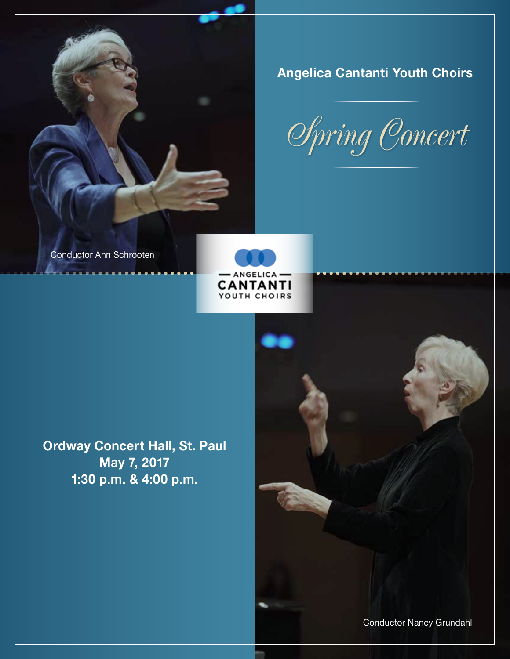

Angelica Cantanti Youth Choirs

*Spring Concert*

Conductor Ann Schrooten



Ordway Concert Hall, St. Paul May 7, 2017 1:30 p.m. & 4:00 p.m.

Conductor Nancy Grundahl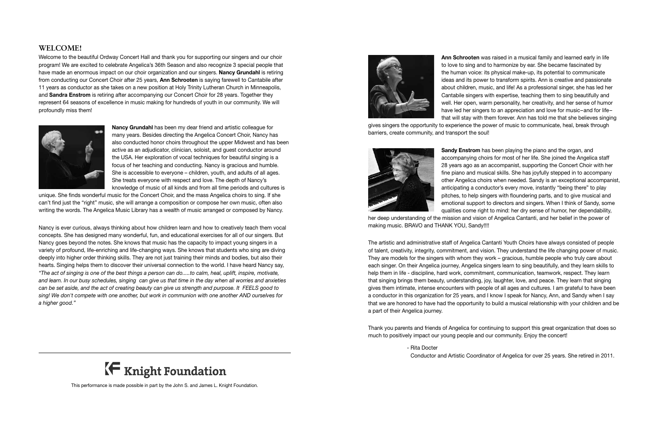# **WELCOME!**

Welcome to the beautiful Ordway Concert Hall and thank you for supporting our singers and our choir program! We are excited to celebrate Angelica's 36th Season and also recognize 3 special people that have made an enormous impact on our choir organization and our singers. Nancy Grundahl is retiring from conducting our Concert Choir after 25 years, Ann Schrooten is saying farewell to Cantabile after 11 years as conductor as she takes on a new position at Holy Trinity Lutheran Church in Minneapolis, and Sandra Enstrom is retiring after accompanying our Concert Choir for 28 years. Together they represent 64 seasons of excellence in music making for hundreds of youth in our community. We will profoundly miss them!



Nancy Grundahl has been my dear friend and artistic colleague for many years. Besides directing the Angelica Concert Choir, Nancy has also conducted honor choirs throughout the upper Midwest and has been active as an adjudicator, clinician, soloist, and guest conductor around the USA. Her exploration of vocal techniques for beautiful singing is a focus of her teaching and conducting. Nancy is gracious and humble. She is accessible to everyone – children, youth, and adults of all ages. She treats everyone with respect and love. The depth of Nancy's knowledge of music of all kinds and from all time periods and cultures is

unique. She finds wonderful music for the Concert Choir, and the mass Angelica choirs to sing. If she can't find just the "right" music, she will arrange a composition or compose her own music, often also writing the words. The Angelica Music Library has a wealth of music arranged or composed by Nancy.

Ann Schrooten was raised in a musical family and learned early in life to love to sing and to harmonize by ear. She became fascinated by the human voice: its physical make-up, its potential to communicate ideas and its power to transform spirits. Ann is creative and passionate about children, music, and life! As a professional singer, she has led her Cantabile singers with expertise, teaching them to sing beautifully and well. Her open, warm personality, her creativity, and her sense of humor have led her singers to an appreciation and love for music–and for life– that will stay with them forever. Ann has told me that she believes singing gives singers the opportunity to experience the power of music to communicate, heal, break through barriers, create community, and transport the soul!



Sandy Enstrom has been playing the piano and the organ, and accompanying choirs for most of her life. She joined the Angelica staff 28 years ago as an accompanist, supporting the Concert Choir with her fine piano and musical skills. She has joyfully stepped in to accompany other Angelica choirs when needed. Sandy is an exceptional accompanist, anticipating a conductor's every move, instantly "being there" to play pitches, to help singers with floundering parts, and to give musical and emotional support to directors and singers. When I think of Sandy, some qualities come right to mind: her dry sense of humor, her dependability,

Nancy is ever curious, always thinking about how children learn and how to creatively teach them vocal concepts. She has designed many wonderful, fun, and educational exercises for all of our singers. But Nancy goes beyond the notes. She knows that music has the capacity to impact young singers in a variety of profound, life-enriching and life-changing ways. She knows that students who sing are diving deeply into higher order thinking skills. They are not just training their minds and bodies, but also their hearts. Singing helps them to discover their universal connection to the world. I have heard Nancy say, *"The act of singing is one of the best things a person can do.....to calm, heal, uplift, inspire, motivate, and learn. In our busy schedules, singing can give us that time in the day when all worries and anxieties can be set aside, and the act of creating beauty can give us strength and purpose. It FEELS good to sing! We don't compete with one another, but work in communion with one another AND ourselves for a higher good."*



her deep understanding of the mission and vision of Angelica Cantanti, and her belief in the power of making music. BRAVO and THANK YOU, Sandy!!!!

The artistic and administrative staff of Angelica Cantanti Youth Choirs have always consisted of people of talent, creativity, integrity, commitment, and vision. They understand the life changing power of music. They are models for the singers with whom they work – gracious, humble people who truly care about each singer. On their Angelica journey, Angelica singers learn to sing beautifully, and they learn skills to help them in life - discipline, hard work, commitment, communication, teamwork, respect. They learn that singing brings them beauty, understanding, joy, laughter, love, and peace. They learn that singing gives them intimate, intense encounters with people of all ages and cultures. I am grateful to have been a conductor in this organization for 25 years, and I know I speak for Nancy, Ann, and Sandy when I say that we are honored to have had the opportunity to build a musical relationship with your children and be a part of their Angelica journey.

Thank you parents and friends of Angelica for continuing to support this great organization that does so much to positively impact our young people and our community. Enjoy the concert!

- Rita Docter



Conductor and Artistic Coordinator of Angelica for over 25 years. She retired in 2011.

This performance is made possible in part by the John S. and James L. Knight Foundation.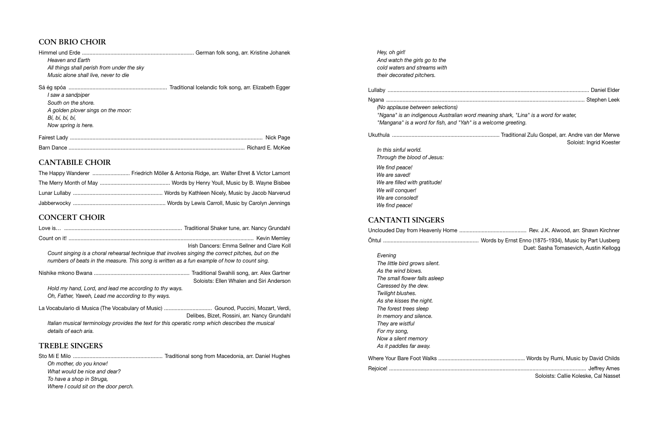*Hey, oh girl! And watch the girls go to the cold waters and streams with their decorated pitchers.*

Lullaby ....................................................................................................................................... Daniel Elder Ngana ..................................................................................................................................... Stephen Leek

 *(No applause between selections) "Ngana" is an indigenous Australian word meaning shark, "Lina" is a word for water, "Mangana" is a word for fish, and "Yah" is a welcome greeting.*

Ukuthula ........................................................................ Traditional Zulu Gospel, arr. Andre van der Merwe Soloist: Ingrid Koester

## *In this sinful world. Through the blood of Jesus: We find peace! We are saved! We are filled with gratitude! We will conquer! We are consoled! We find peace!*

# **CANTANTI SINGERS**

Unclouded Day from Heavenly Home ............................................. Rev. J.K. Alwood, arr. Shawn Kirchner Õhtul ................................................................ Words by Ernst Enno (1875-1934), Music by Part Uusberg Duet: Sasha Tomasevich, Austin Kellogg

 *Evening The little bird grows silent. As the wind blows. The small flower falls asleep Caressed by the dew. Twilight blushes. As she kisses the night. The forest trees sleep In memory and silence. They are wistful For my song, Now a silent memory As it paddles far away.* Where Your Bare Foot Walks .......................................................... Words by Rumi, Music by David Childs Rejoice! .................................................................................................................................... Jeffrey Ames

| Words by Rumi, Music by David Childs |
|--------------------------------------|
|                                      |
| Soloists: Callie Koleske, Cal Nasset |

# **CON BRIO CHOIR**

| <b>Heaven and Earth</b>                    |           |
|--------------------------------------------|-----------|
| All things shall perish from under the sky |           |
| Music alone shall live, never to die       |           |
|                                            |           |
| l saw a sandpiper                          |           |
| South on the shore.                        |           |
| A golden plover sings on the moor:         |           |
| Bí, bí, bí, bí,                            |           |
| Now spring is here.                        |           |
| Fairest Ladv                               | Nick Page |

| <b>Barn</b> L | WIC:N |
|---------------|-------|

# **CANTABILE CHOIR**

| The Happy Wanderer  Friedrich Möller & Antonia Ridge, arr. Walter Ehret & Victor Lamont |
|-----------------------------------------------------------------------------------------|
|                                                                                         |
|                                                                                         |
|                                                                                         |

# **CONCERT CHOIR**

|                                                                                                                                                                                                     | Irish Dancers: Emma Sellner and Clare Koll   |
|-----------------------------------------------------------------------------------------------------------------------------------------------------------------------------------------------------|----------------------------------------------|
| Count singing is a choral rehearsal technique that involves singing the correct pitches, but on the<br>numbers of beats in the measure. This song is written as a fun example of how to count sing. |                                              |
|                                                                                                                                                                                                     | Soloists: Ellen Whalen and Siri Anderson     |
| Hold my hand, Lord, and lead me according to thy ways.<br>Oh, Father, Yaweh, Lead me according to thy ways.                                                                                         |                                              |
| La Vocabulario di Musica (The Vocabulary of Music)  Gounod, Puccini, Mozart, Verdi,                                                                                                                 | Delibes, Bizet, Rossini, arr. Nancy Grundahl |
| Italian musical terminology provides the text for this operatic romp which describes the musical<br>details of each aria.                                                                           |                                              |

# **TREBLE SINGERS**

Sto Mi E Milo ............................................................ Traditional song from Macedonia, arr. Daniel Hughes

 *Oh mother, do you know! What would be nice and dear? To have a shop in Struga, Where I could sit on the door perch.*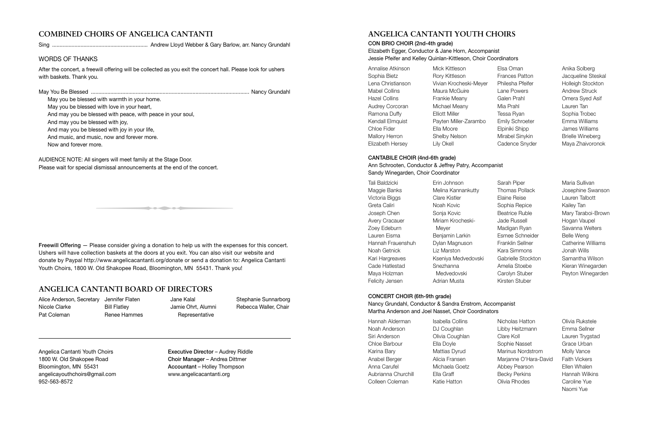# **ANGELICA CANTANTI YOUTH CHOIRS**

CON BRIO CHOIR (2nd-4th grade)

Elizabeth Egger, Conductor & Jane Horn, Accompanist Jessie Pfeifer and Kelley Quinlan-Kittleson, Choir Coordinators

| Annalise Atkinson    | Mick Kittleson         | Elsa Oman              | Anika Solberg           |
|----------------------|------------------------|------------------------|-------------------------|
| Sophia Bietz         | Rory Kittleson         | <b>Frances Patton</b>  | Jacqueline Steska       |
| Lena Christianson    | Vivian Krocheski-Meyer | Philesha Pfeifer       | Holleigh Stockton       |
| <b>Mabel Collins</b> | Maura McGuire          | Lane Powers            | <b>Andrew Struck</b>    |
| <b>Hazel Collins</b> | Frankie Meany          | Galen Prahl            | Omera Syed Asif         |
| Audrey Corcoran      | Michael Meany          | Mia Prahl              | Lauren Tan              |
| Ramona Duffy         | <b>Elliott Miller</b>  | Tessa Ryan             | Sophia Trobec           |
| Kendall Elmquist     | Payten Miller-Zarambo  | <b>Emily Schroeter</b> | Emma Williams           |
| Chloe Fider          | Ella Moore             | Elpiniki Shipp         | James Williams          |
| Mallory Herron       | Shelby Nelson          | Mirabel Sinykin        | <b>Brielle Wineberg</b> |
| Elizabeth Hersey     | Lily Okell             | Cadence Snyder         | Maya Zhaivoronok        |

Jacqueline Steskal Holleigh Stockton Maya Zhaivoronok

#### CANTABILE CHOIR (4nd-6th grade)

Ann Schrooten, Conductor & Jeffrey Patry, Accompanist Sandy Winegarden, Choir Coordinator

| Tali Baldzicki        | Erin Johnson        |
|-----------------------|---------------------|
| Maggie Banks          | Melina Kannankutty  |
| Victoria Biggs        | Clare Kistler       |
| Greta Caliri          | Noah Kovic          |
| Joseph Chen           | Sonja Kovic         |
| <b>Avery Cracauer</b> | Miriam Krocheski-   |
| Zoey Edeburn          | Mever               |
| Lauren Fisma          | Benjamin Larkin     |
| Hannah Frauenshuh     | Dylan Magnuson      |
| Noah Getnick          | Liz Marston         |
| Kari Hargreaves       | Kseniya Medvedovski |
| Cade Hatlestad        | Snezhanna           |
| Maya Holzman          | Medvedovski         |
| Felicity Jensen       | Adrian Musta        |

Sarah Piper Thomas Pollack Elaine Reise Sophia Repice Beatrice Ruble Jade Russell Madigan Ryan Esmee Schneider Franklin Sellner Kara Simmons Gabrielle Stockton Amelia Stoebe Carolyn Stuber Kirsten Stuber

d with warmth in your home.<br>d with love in your heart,<br>essed with peace, with peace in your soul,<br>essed with joy,<br>sesed with joy,<br>isc, now and forever more.<br>ore.<br>singers will meet family at the Stage Door.<br>dismissal announ May you be blessed with warmth in your home. May you be blessed with love in your heart, And may you be blessed with peace, with peace in your soul, And may you be blessed with joy, And may you be blessed with joy in your life, And music, and music, now and forever more. Now and forever more.

Maria Sullivan Josephine Swanson Lauren Talbott Kailey Tan Mary Taraboi-Brown Hogan Vaupel Savanna Welters Belle Weng Catherine Williams Jonah Wills Samantha Wilson Kieran Winegarden Peyton Winegarden

### CONCERT CHOIR (6th-9th grade)

Nancy Grundahl, Conductor & Sandra Enstrom, Accompanist Martha Anderson and Joel Nasset, Choir Coordinators

| Hannah Alderman     | <b>Isabella Collins</b> |
|---------------------|-------------------------|
| Noah Anderson       | DJ Coughlan             |
| Siri Anderson       | Olivia Coughlan         |
| Chloe Barbour       | Ella Doyle              |
| Karina Bary         | Mattias Dyrud           |
| Anabel Berger       | Alicia Fransen          |
| Anna Carufel        | Michaela Goetz          |
| Aubrianna Churchill | Ella Graff              |
| Colleen Coleman     | Katie Hatton            |

Nicholas Hatton Libby Heitzmann Clare Koll Sophie Nasset Marinus Nordstrom Marjanne O'Hara-David Abbey Pearson Becky Perkins Olivia Rhodes

Olivia Rukstele Emma Sellner Lauren Trygstad Grace Urban Molly Vance Faith Vickers Ellen Whalen Hannah Wilkins Caroline Yue Naomi Yue

# **COMBINED CHOIRS OF ANGELICA CANTANTI**

Sing ................................................................ Andrew Lloyd Webber & Gary Barlow, arr. Nancy Grundahl

## WORDS OF THANKS

After the concert, a freewill offering will be collected as you exit the concert hall. Please look for ushers with baskets. Thank you.

May You Be Blessed .......................................................................................................... Nancy Grundahl

AUDIENCE NOTE: All singers will meet family at the Stage Door. Please wait for special dismissal announcements at the end of the concert.

Freewill Offering — Please consider giving a donation to help us with the expenses for this concert. Ushers will have collection baskets at the doors at you exit. You can also visit our website and donate by Paypal http://www.angelicacantanti.org/donate or send a donation to: Angelica Cantanti Youth Choirs, 1800 W. Old Shakopee Road, Bloomington, MN 55431. Thank you!

Angelica Cantanti Youth Choirs Executive Director – Audrey Riddle 1800 W. Old Shakopee Road Choir Manager – Andrea Dittmer Bloomington, MN 55431 Accountant – Holley Thompson angelicayouthchoirs@gmail.com www.angelicacantanti.org 952-563-8572

# **ANGELICA CANTANTI BOARD OF DIRECTORS**

Alice Anderson, Secretary Jennifer Flaten Nicole Clarke Pat Coleman

Bill Flatley Renee Hammes

Jane Kalal Jamie Ohrt, Alumni Representative

Stephanie Sunnarborg Rebecca Waller, Chair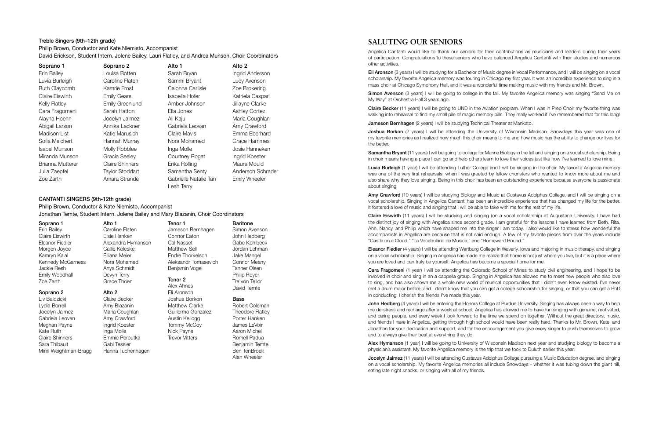## **SALUTING OUR SENIORS**

Angelica Cantanti would like to thank our seniors for their contributions as musicians and leaders during their years of participation. Congratulations to these seniors who have balanced Angelica Cantanti with their studies and numerous other activities.

Simon Avenson (3 years) I will be going to college in the fall. My favorite Angelica memory was singing "Send Me on My Way" at Orchestra Hall 3 years ago.

Eli Aronson (3 years) I will be studying for a Bachelor of Music degree in Vocal Performance, and I will be singing on a vocal scholarship. My favorite Angelica memory was touring in Chicago my first year. It was an incredible experience to sing in a mass choir at Chicago Symphony Hall, and it was a wonderful time making music with my friends and Mr. Brown.

Claire Becker (11 years) I will be going to UND in the Aviation program. When I was in Prep Choir my favorite thing was walking into rehearsal to find my small pile of magic memory pills. They really worked if I've remembered that for this long!

**Jameson Bernhagen** (2 years) I will be studying Technical Theater at Mankato.

**Joshua Borkon** (2 years) I will be attending the University of Wisconsin Madison. Snowdays this year was one of my favorite memories as I realized how much this choir means to me and how music has the ability to change our lives for the better.

Samantha Bryant (11 years) I will be going to college for Marine Biology in the fall and singing on a vocal scholarship. Being in choir means having a place I can go and help others learn to love their voices just like how I've learned to love mine.

Luvia Burleigh (1 year) I will be attending Luther College and I will be singing in the choir. My favorite Angelica memory was one of the very first rehearsals, when I was greeted by fellow choristers who wanted to know more about me and also share why they love singing. Being in this choir has been an outstanding experience because everyone is passionate about singing.

Amy Crawford (10 years) I will be studying Biology and Music at Gustavus Adolphus College, and I will be singing on a vocal scholarship. Singing in Angelica Cantanti has been an incredible experience that has changed my life for the better. It fostered a love of music and singing that I will be able to take with me for the rest of my life.

John Hedberg (4 years) I will be entering the Honors College at Purdue University. Singing has always been a way to help me de-stress and recharge after a week at school. Angelica has allowed me to have fun singing with genuine, motivated, and caring people, and every week I look forward to the time we spend on together. Without the great directors, music, and friends I have in Angelica, getting through high school would have been really hard. Thanks to Mr. Brown, Kate, and Jonathan for your dedication and support, and for the encouragement you give every singer to push themselves to grow and to always give their best at everything they do.

Alex Hymanson (1 year) I will be going to University of Wisconsin Madison next year and studying biology to become a physician's assistant. My favorite Angelica memory is the trip that we took to Duluth earlier this year.

Jocelyn Jaimez (11 years) I will be attending Gustavus Adolphus College pursuing a Music Education degree, and singing on a vocal scholarship. My favorite Angelica memories all include Snowdays - whether it was tubing down the giant hill, eating late night snacks, or singing with all of my friends.

Claire Eiswirth (11 years) I will be studying and singing (on a vocal scholarship) at Augustana University. I have had the distinct joy of singing with Angelica since second grade. I am grateful for the lessons I have learned from Beth, Rita, Ann, Nancy, and Philip which have shaped me into the singer I am today. I also would like to stress how wonderful the accompanists in Angelica are because that is not said enough. A few of my favorite pieces from over the years include "Castle on a Cloud," "La Vocabulario de Musica," and "Homeward Bound."

Eleanor Fiedler (4 years) I will be attending Wartburg College in Waverly, Iowa and majoring in music therapy, and singing on a vocal scholarship. Singing in Angelica has made me realize that home is not just where you live, but it is a place where you are loved and can truly be yourself. Angelica has become a special home for me.

Cara Fragomeni (1 year) I will be attending the Colorado School of Mines to study civil engineering, and I hope to be involved in choir and sing in an a cappella group. Singing in Angelica has allowed me to meet new people who also love to sing, and has also shown me a whole new world of musical opportunities that I didn't even know existed. I've never met a drum major before, and I didn't know that you can get a college scholarship for singing, or that you can get a PhD in conducting! I cherish the friends I've made this year.

## CANTANTI SINGERS (9th-12th grade)

Philip Brown, Conductor & Kate Niemisto, Accompanist Jonathan Temte, Student Intern. Jolene Bailey and Mary Blazanin, Choir Coordinators

#### Soprano 1

Erin Bailey Claire Eiswirth Eleanor Fiedler Morgen Joyce Kamryn Kalal Kennedy McGarness Jackie Resh Emily Woodhall Zoe Zarth

#### Soprano 2

Liv Baldzicki Lydia Borrell Jocelyn Jaimez Gabriela Leovan Meghan Payne Kate Ruth Claire Shinners Sara Thibault Mimi Weightman-Bragg

Alto 1 Caroline Flaten Elsie Hanken Alexandra Hymanson Callie Koleske Elliana Meier Nora Mohamed Anya Schmidt Devyn Terry Grace Thoen

#### Alto 2

Claire Becker Amy Blazanin Maria Coughlan Amy Crawford Ingrid Koester Inga Molle Emmie Peroutka Gabi Tessier Hanna Tuchenhagen

Tenor 1 Jameson Bernhagen Connor Eaton Cal Nasset Matthew Sell Endre Thorkelson Aleksandr Tomasevich Benjamin Vogel

#### Tenor 2

Alex Ahnes Eli Aronson Joshua Borkon Matthew Clarke Guillermo Gonzalez Austin Kellogg Tommy McCoy Nick Payne Trevor Vitters

Baritone Simon Avenson John Hedberg Gabe Kohlbeck Jordan Lehman Jake Mangel Connor Meany Tanner Olsen Philip Royer Tre'von Tellor David Temte

### Bass

Robert Coleman Theodore Flatley Porter Hanken James LeVoir Aaron Michel Romell Padua Benjamin Temte Ben TenBroek Alan Wheeler

#### Treble Singers (9th–12th grade)

Philip Brown, Conductor and Kate Niemisto, Accompanist David Erickson, Student Intern. Jolene Bailey, Lauri Flatley, and Andrea Munson, Choir Coordinators

| Soprano 1            | Soprano 2              | Alto 1                | Alto 2               |
|----------------------|------------------------|-----------------------|----------------------|
| Erin Bailey          | Louisa Botten          | Sarah Bryan           | Ingrid Anderson      |
| Luvia Burleigh       | Caroline Flaten        | Sammi Bryant          | Lucy Avenson         |
| Ruth Claycomb        | Kamrie Frost           | Calonna Carlisle      | Zoe Brokering        |
| Claire Eiswirth      | <b>Emily Gears</b>     | Isabella Hofer        | Katriela Caspari     |
| Kelly Flatley        | Emily Greenlund        | Amber Johnson         | Jillayne Clarke      |
| Cara Fragomeni       | Sarah Hatton           | Ella Jones            | <b>Ashley Cortez</b> |
| Alayna Hoehn         | Jocelyn Jaimez         | Ali Kaju              | Maria Coughlan       |
| Abigail Larson       | Annika Lackner         | Gabriela Leovan       | Amy Crawford         |
| Madison List         | Katie Marusich         | Claire Mavis          | Emma Eberhard        |
| Sofia Melchert       | Hannah Murray          | Nora Mohamed          | Grace Hammes         |
| <b>Isabel Munson</b> | Molly Robblee          | Inga Molle            | Josie Hanneken       |
| Miranda Munson       | Gracia Seeley          | Courtney Rogat        | Ingrid Koester       |
| Brianna Mutterer     | <b>Claire Shinners</b> | Erika Rolling         | Maura Mould          |
| Julia Zaepfel        | <b>Taylor Stoddart</b> | Samantha Senty        | Anderson Schrader    |
| Zoe Zarth            | Amara Strande          | Gabrielle Natalie Tan | <b>Emily Wheeler</b> |
|                      |                        | Leah Terry            |                      |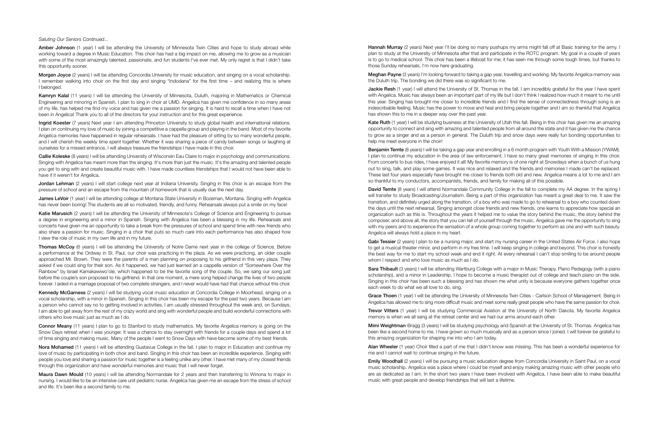**Hannah Murray** (2 years) Next year I'll be doing so many pushups my arms might fall off at Basic training for the army. I plan to study at the University of Minnesota after that and participate in the ROTC program. My goal in a couple of years is to go to medical school. This choir has been a lifeboat for me; it has seen me through some tough times, but thanks to those Sunday rehearsals, I'm now here graduating.

Meghan Payne (3 years) I'm looking forward to taking a gap year, travelling and working. My favorite Angelica memory was the Duluth trip. The bonding we did there was so significant to me.

Jackie Resh (1 year) I will attend the University of St. Thomas in the fall. I am incredibly grateful for the year I have spent with Angelica. Music has always been an important part of my life but I don't think I realized how much it meant to me until this year. Singing has brought me closer to incredible friends and I find the sense of connectedness through song is an indescribable feeling. Music has the power to move and heal and bring people together and I am so thankful that Angelica has shown this to me in a deeper way over the past year.

Kate Ruth (1 year) I will be studying business at the University of Utah this fall. Being in this choir has given me an amazing opportunity to connect and sing with amazing and talented people from all around the state and it has given me the chance to grow as a singer and as a person in general. The Duluth trip and snow days were really fun bonding opportunities to help me meet everyone in the choir!

David Temte (8 years) I will attend Normandale Community College in the fall to complete my AA degree. In the spring I will transfer to study Broadcasting/Journalism. Being a part of this organization has meant a great deal to me. It saw the transition, and definitely urged along the transition, of a boy who was made to go to rehearsal to a boy who counted down the days until the next rehearsal. Singing amongst close friends and new friends, one learns to appreciate how special an organization such as this is. Throughout the years it helped me to value the story behind the music, the story behind the composer, and above all, the story that you can tell of yourself through the music. Angelica gave me the opportunity to sing with my peers and to experience the sensation of a whole group coming together to perform as one and with such beauty. Angelica will always hold a place in my heart.

Gabi Tessier (2 years) I plan to be a nursing major, and start my nursing career in the United States Air Force. I also hope to get a musical theater minor, and perform in my free time. I will keep singing in college and beyond. This choir is honestly the best way for me to start my school week and end it right. At every rehearsal I can't stop smiling to be around people whom I respect and who love music as much as I do.

Benjamin Temte (8 years) I will be taking a gap year and enrolling in a 6 month program with Youth With a Mission (YWAM). I plan to continue my education in the area of law enforcement. I have so many great memories of singing in this choir. From concerts to bus rides, I have enjoyed it all! My favorite memory is of one night at Snowdays when a bunch of us hung out to sing, talk, and play some games. It was nice and relaxed and the friends and memories I made can't be replaced. These last four years especially have brought me closer to friends both old and new. Angelica means a lot to me and I am so thankful to my conductors, accompanists, friends, and family for making all of this possible.

Sara Thibault (3 years) I will be attending Wartburg College with a major in Music Therapy, Piano Pedagogy (with a piano scholarship), and a minor in Leadership. I hope to become a music therapist out of college and teach piano on the side. Singing in this choir has been such a blessing and has shown me what unity is because everyone gathers together once each week to do what we all love to do, sing.

Grace Thoen (1 year) I will be attending the University of Minnesota Twin Cities - Carlson School of Management. Being in Angelica has allowed me to sing more difficult music and meet some really great people who have the same passion for choir.

Trevor Vitters (1 year) I will be studying Commercial Aviation at the University of North Dakota. My favorite Angelica memory is when we all sang at the retreat center and we had our arms around each other.

Mimi Weightman-Bragg (3 years) I will be studying psychology and Spanish at the University of St. Thomas. Angelica has been like a second home to me. I have grown so much musically and as a person since I joined. I will forever be grateful to this amazing organization for shaping me into who I am today.

Alan Wheeler (1 year) Choir filled a part of me that I didn't know was missing. This has been a wonderful experience for me and I cannot wait to continue singing in the future.

Emily Woodhall (2 years) I will be pursuing a music education degree from Concordia University in Saint Paul, on a vocal music scholarship. Angelica was a place where I could be myself and enjoy making amazing music with other people who are as dedicated as I am. In the short two years I have been involved with Angelica, I have been able to make beautiful music with great people and develop friendships that will last a lifetime.

Amber Johnson (1 year) I will be attending the University of Minnesota Twin Cities and hope to study abroad while working toward a degree in Music Education. This choir has had a big impact on me, allowing me to grow as a musician with some of the most amazingly talented, passionate, and fun students I've ever met. My only regret is that I didn't take this opportunity sooner.

Morgen Joyce (2 years) I will be attending Concordia University for music education, and singing on a vocal scholarship. I remember walking into choir on the first day and singing "Indodana" for the first time – and realizing this is where I belonged.

Kamryn Kalal (11 years) I will be attending the University of Minnesota, Duluth, majoring in Mathematics or Chemical Engineering and minoring in Spanish. I plan to sing in choir at UMD. Angelica has given me confidence in so many areas of my life, has helped me find my voice and has given me a passion for singing. It is hard to recall a time when I have not been in Angelica! Thank you to all of the directors for your instruction and for this great experience.

Ingrid Koester (7 years) Next year I am attending Princeton University to study global health and international relations. I plan on continuing my love of music by joining a competitive a cappella group and playing in the band. Most of my favorite Angelica memories have happened in regular rehearsals. I have had the pleasure of sitting by so many wonderful people, and I will cherish the weekly time spent together. Whether it was sharing a piece of candy between songs or laughing at ourselves for a missed entrance, I will always treasure the friendships I have made in this choir.

Jordan Lehman (2 years) I will start college next year at Indiana University. Singing in this choir is an escape from the pressure of school and an escape from the mountain of homework that is usually due the next day.

James LeVoir (1 year) I will be attending college at Montana State University in Bozeman, Montana. Singing with Angelica has never been boring! The students are all so motivated, friendly, and funny. Rehearsals always put a smile on my face!

Katie Marusich (2 years) I will be attending the University of Minnesota's College of Science and Engineering to pursue a degree in engineering and a minor in Spanish. Singing with Angelica has been a blessing in my life. Rehearsals and concerts have given me an opportunity to take a break from the pressures of school and spend time with new friends who also share a passion for music. Singing in a choir that puts so much care into each performance has also shaped how I view the role of music in my own life and in my future.

Kennedy McGarness (2 years) I will be studying vocal music education at Concordia College in Moorhead, singing on a vocal scholarship, with a minor in Spanish. Singing in this choir has been my escape for the past two years. Because I am a person who cannot say no to getting involved in activities, I am usually stressed throughout the week and, on Sundays, I am able to get away from the rest of my crazy world and sing with wonderful people and build wonderful connections with others who love music just as much as I do.

Connor Meany (11 years) I plan to go to Stanford to study mathematics. My favorite Angelica memory is going on the Snow Days retreat when I was younger. It was a chance to stay overnight with friends for a couple days and spend a lot of time singing and making music. Many of the people I went to Snow Days with have become some of my best friends.

Nora Mohamed (11 years) I will be attending Gustavus College in the fall. I plan to major in Education and continue my love of music by participating in both choir and band. Singing in this choir has been an incredible experience. Singing with people you love and sharing a passion for music together is a feeling unlike any other. I have met many of my closest friends through this organization and have wonderful memories and music that I will never forget.

*Saluting Our Seniors Continued...* 

Maura Dawn Mould (10 years) I will be attending Normandale for 2 years and then transferring to Winona to major in nursing. I would like to be an intensive care unit pediatric nurse. Angelica has given me an escape from the stress of school and life. It's been like a second family to me.

Callie Koleske (8 years) I will be attending University of Wisconsin Eau Claire to major in psychology and communications. Singing with Angelica has meant more than the singing. It's more than just the music. It's the amazing and talented people you get to sing with and create beautiful music with. I have made countless friendships that I would not have been able to have if it weren't for Angelica.

Thomas McCoy (6 years) I will be attending the University of Notre Dame next year in the college of Science. Before a performance at the Ordway in St. Paul, our choir was practicing in the plaza. As we were practicing, an older couple approached Mr. Brown. They were the parents of a man planning on proposing to his girlfriend in this very plaza. They asked if we could sing for their son. As it happened, we had just learned an a cappella version of "Somewhere Over the Rainbow" by Israel Kamakawiwo'ole, which happened to be the favorite song of the couple. So, we sang our song just before the couple's son proposed to his girlfriend. In that one moment, a mere song helped change the lives of two people forever. I aided in a marriage proposal of two complete strangers, and I never would have had that chance without this choir.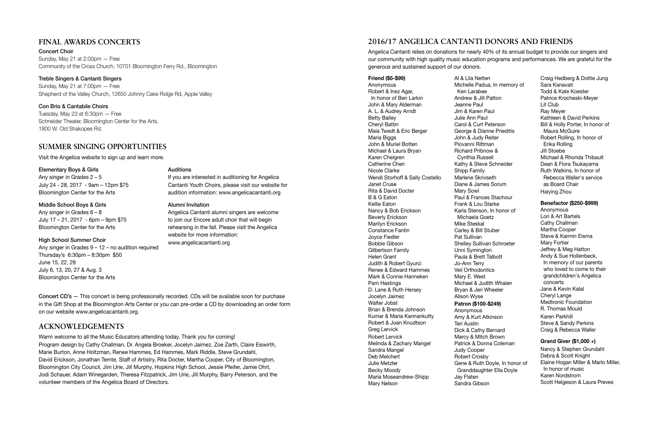# **2016/17 ANGELICA CANTANTI DONORS AND FRIENDS**

Angelica Cantanti relies on donations for nearly 40% of its annual budget to provide our singers and our community with high quality music education programs and performances. We are grateful for the generous and sustained support of our donors.

### Friend (\$5-\$99) Anonymous Robert & Inez Agar, In honor of Ben Larkin John & Mary Alderman A. L. & Audrey Arndt Betty Bailey Cheryl Battin Maia Twedt & Eric Berger Maria Biggs John & Muriel Botten Michael & Laura Bryan Karen Chelgren Catherine Chen Nicole Clarke Wendi Storhoff & Sally Costello Janet Cruse Rita & David Docter B & G Eaton Kellie Eaton Nancy & Bob Erickson Beverly Erickson Marilyn Erickson Constance Fantin Joyce Fiedler Bobbie Gibson Gilbertson Family Helen Grant Judith & Robert Gyurci Renee & Edward Hammes Mark & Connie Hanneken Pam Hastings D. Lane & Ruth Hersey Jocelyn Jaimez Walter Jobst Brian & Brenda Johnson Kumar & Maria Kannankutty Robert & Joan Knudtson Greg Lervick Robert Lervick Melinda & Zachary Mangel Sandra Mangel Deb Melchert Julie Metzler Becky Moody Maria Moseandrew-Shipp Mary Nelson

Al & Lila Netten Michelle Padua, In memory of

 Ken Larabee Andrew & Jill Patton Jeanne Paul Jim & Karen Paul Julie Ann Paul Carol & Curt Peterson George & Dianne Prieditis John & Judy Reiter Piovanni Rittman Richard Pribnow & Cynthia Russell Kathy & Steve Schneider Shipp Family Marlene Skrivseth Diane & James Sorum Mary Sowl Paul & Frances Stachour Frank & Lou Starke Karla Stenson, In honor of Michaela Goetz Mike Steskal Carley & Bill Stuber Pat Sullivan Shelley Sullivan Schroeter Unni Symington Paula & Brett Talbott Jo-Ann Terry Veil Orthodontics Mary E. West Michael & Judith Whalen Bryan & Jeri Wheeler Alison Wyse Patron (\$100-\$249) Anonymous Amy & Kurt Atkinson Teri Austin Dick & Cathy Bernard Marcy & Mitch Brown Patrick & Donna Coleman Judy Cooper Robert Crosby Gene & Ruth Doyle, In honor of Granddaughter Ella Doyle Jay Flaten

Sandra Gibson

Craig Hedberg & Dottie Jung Sara Kanavati Todd & Kate Koester Patrice Krocheski-Meyer Lit Club Ray Meyer Kathleen & David Perkins Bill & Holly Porter, In honor of Maura McGuire Robert Rolling, In honor of Erika Rolling Jill Stoebe Michael & Rhonda Thibault Dean & Flora Tsukayama Ruth Watkins, In honor of Rebecca Waller's service as Board Chair Haiying Zhou

### Benefactor (\$250-\$999)

Anonymous Lori & Art Bartels Cathy Challman Martha Cooper Steve & Karmin Eisma Mary Fortier Jeffrey & Meg Hatton Andy & Sue Hollenbeck, In memory of our parents who loved to come to their grandchildren's Angelica concerts Jane & Kevin Kalal Cheryl Lange Medtronic Foundation R. Thomas Mould Karen Parkhill Steve & Sandy Perkins Craig & Rebecca Waller

## Grand Giver (\$1,000 +)

Nancy & Stephen Grundahl Debra & Scott Knight Elaine Hogan Miller & Marlo Miller, In honor of music Karen Nordstrom Scott Helgeson & Laura Preves

Concert CD's — This concert is being professionally recorded. CDs will be available soon for purchase in the Gift Shop at the Bloomington Arts Center or you can pre-order a CD by downloading an order form on our website www.angelicacantanti.org.

# **ACKNOWLEDGEMENTS**

Warm welcome to all the Music Educators attending today. Thank you for coming! Program design by Cathy Challman, Dr. Angela Broeker, Jocelyn Jaimez, Zoe Zarth, Claire Eiswirth, Marie Burton, Anne Holtzman, Renee Hammes, Ed Hammes, Mark Riddle, Steve Grundahl, David Erickson, Jonathan Temte, Staff of Artistry, Rita Docter, Martha Cooper, City of Bloomington, Bloomington City Council, Jim Urie, Jill Murphy, Hopkins High School, Jessie Pfeifer, Jamie Ohrt, Jodi Schauer, Adam Winegarden, Theresa Fitzpatrick, Jim Urie, Jill Murphy, Barry Peterson, and the volunteer members of the Angelica Board of Directors.

# **SUMMER SINGING OPPORTUNITIES**

Visit the Angelica website to sign up and learn more.

Elementary Boys & Girls Any singer in Grades 2 – 5 July 24 - 28, 2017 - 9am – 12pm \$75 Bloomington Center for the Arts

### Middle School Boys & Girls

Any singer in Grades 6 – 8 July 17 – 21, 2017 - 6pm – 9pm \$75 Bloomington Center for the Arts

## High School Summer Choir

Any singer in Grades 9 – 12 – no audition required Thursday's 6:30pm – 8:30pm \$50 June 15, 22, 29 July 6, 13, 20, 27 & Aug. 3 Bloomington Center for the Arts

#### Auditions

If you are interested in auditioning for Angelica Cantanti Youth Choirs, please visit our website for audition information: www.angelicacantanti.org

### Alumni Invitation

Angelica Cantanti alumni singers are welcome to join our Encore adult choir that will begin rehearsing in the fall. Please visit the Angelica website for more information: www.angelicacantanti.org

# **FINAL AWARDS CONCERTS**

Concert Choir Sunday, May 21 at 2:00pm — Free Community of the Cross Church, 10701 Bloomington Ferry Rd., Bloomington

## Treble Singers & Cantanti Singers

Sunday, May 21 at 7:00pm — Free Shepherd of the Valley Church, 12650 Johnny Cake Ridge Rd, Apple Valley

## Con Brio & Cantabile Choirs

Tuesday, May 23 at 6:30pm — Free Schneider Theater, Bloomington Center for the Arts, 1800 W. Old Shakopee Rd.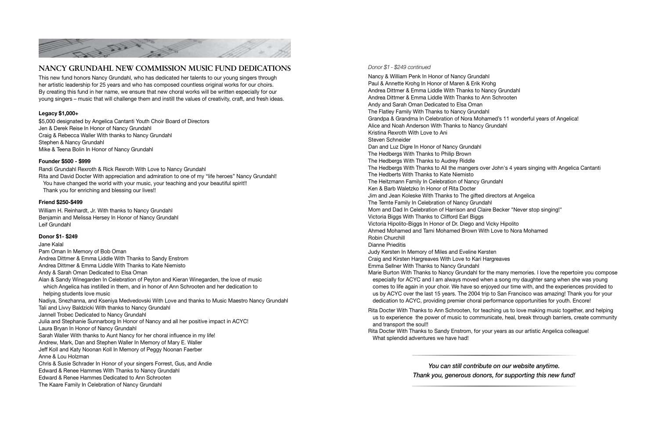

## **NANCY GRUNDAHL NEW COMMISSION MUSIC FUND DEDICATIONS**

This new fund honors Nancy Grundahl, who has dedicated her talents to our young singers through her artistic leadership for 25 years and who has composed countless original works for our choirs. By creating this fund in her name, we ensure that new choral works will be written especially for our young singers – music that will challenge them and instill the values of creativity, craft, and fresh ideas.

## Legacy \$1,000+

William H. Reinhardt, Jr. With thanks to Nancy Grundahl Benjamin and Melissa Hersey In Honor of Nancy Grundahl Leif Grundahl

\$5,000 designated by Angelica Cantanti Youth Choir Board of Directors Jen & Derek Reise In Honor of Nancy Grundahl Craig & Rebecca Waller With thanks to Nancy Grundahl Stephen & Nancy Grundahl Mike & Teena Bolin In Honor of Nancy Grundahl

## Founder \$500 - \$999

Randi Grundahl Rexroth & Rick Rexroth With Love to Nancy Grundahl Rita and David Docter With appreciation and admiration to one of my "life heroes" Nancy Grundahl! You have changed the world with your music, your teaching and your beautiful spirit!! Thank you for enriching and blessing our lives!!

## Friend \$250-\$499

### Donor \$1- \$249

Jane Kalal Pam Oman In Memory of Bob Oman Andrea Dittmer & Emma Liddle With Thanks to Sandy Enstrom Andrea Dittmer & Emma Liddle With Thanks to Kate Niemisto Andy & Sarah Oman Dedicated to Elsa Oman Alan & Sandy Winegarden In Celebration of Peyton and Kieran Winegarden, the love of music which Angelica has instilled in them, and in honor of Ann Schrooten and her dedication to helping students love music Nadiya, Snezhanna, and Kseniya Medvedovski With Love and thanks to Music Maestro Nancy Grundahl Tali and Livvy Baldzicki With thanks to Nancy Grundahl Jannell Trobec Dedicated to Nancy Grundahl Julia and Stephanie Sunnarborg In Honor of Nancy and all her positive impact in ACYC! Laura Bryan In Honor of Nancy Grundahl Sarah Waller With thanks to Aunt Nancy for her choral influence in my life! Andrew, Mark, Dan and Stephen Waller In Memory of Mary E. Waller Jeff Koll and Katy Noonan Koll In Memory of Peggy Noonan Faerber Anne & Lou Holzman Chris & Susie Schrader In Honor of your singers Forrest, Gus, and Andie Edward & Renee Hammes With Thanks to Nancy Grundahl Edward & Renee Hammes Dedicated to Ann Schrooten The Kaare Family In Celebration of Nancy Grundahl

### *Donor \$1 - \$249 continued*

Nancy & William Penk In Honor of Nancy Grundahl Paul & Annette Krohg In Honor of Maren & Erik Krohg Andrea Dittmer & Emma Liddle With Thanks to Nancy Grundahl Andrea Dittmer & Emma Liddle With Thanks to Ann Schrooten Andy and Sarah Oman Dedicated to Elsa Oman The Flatley Family With Thanks to Nancy Grundahl Grandpa & Grandma In Celebration of Nora Mohamed's 11 wonderful years of Angelica! Alice and Noah Anderson With Thanks to Nancy Grundahl Kristina Rexroth With Love to Ani Steven Schneider Dan and Luz Digre In Honor of Nancy Grundahl The Hedbergs With Thanks to Philip Brown The Hedbergs With Thanks to Audrey Riddle The Hedbergs With Thanks to All the mangers over John's 4 years singing with Angelica Cantanti The Hedberts With Thanks to Kate Niemisto The Heitzmann Family In Celebration of Nancy Grundahl Ken & Barb Waletzko In Honor of Rita Docter Jim and Jean Koleske With Thanks to The gifted directors at Angelica The Temte Family In Celebration of Nancy Grundahl Mom and Dad In Celebration of Harrison and Claire Becker "Never stop singing!" Victoria Biggs With Thanks to Clifford Earl Biggs Victoria Hipolito-Biggs In Honor of Dr. Diego and Vicky Hipolito Ahmed Mohamed and Tami Mohamed Brown With Love to Nora Mohamed Robin Churchill Dianne Prieditis Judy Kersten In Memory of Miles and Eveline Kersten Craig and Kirsten Hargreaves With Love to Kari Hargreaves Emma Sellner With Thanks to Nancy Grundahl Marie Burton With Thanks to Nancy Grundahl for the many memories. I love the repertoire you compose especially for ACYC and I am always moved when a song my daughter sang when she was young comes to life again in your choir. We have so enjoyed our time with, and the experiences provided to us by ACYC over the last 15 years. The 2004 trip to San Francisco was amazing! Thank you for your dedication to ACYC, providing premier choral performance opportunities for youth. Encore!

Rita Docter With Thanks to Ann Schrooten, for teaching us to love making music together, and helping us to experience the power of music to communicate, heal, break through barriers, create community

- and transport the soul!!
- Rita Docter With Thanks to Sandy Enstrom, for your years as our artistic Angelica colleague! What splendid adventures we have had!

*You can still contribute on our website anytime. Thank you, generous donors, for supporting this new fund!*